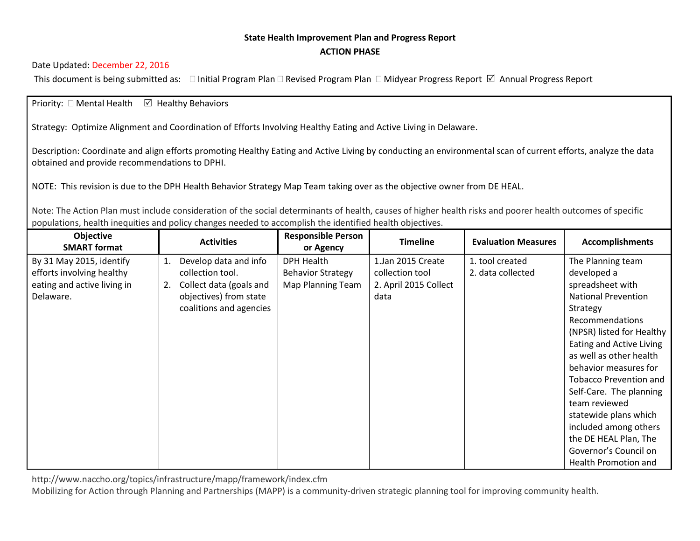## **State Health Improvement Plan and Progress Report ACTION PHASE**

## Date Updated: December 22, 2016

This document is being submitted as:  $\Box$  Initial Program Plan  $\Box$  Revised Program Plan  $\Box$  Midyear Progress Report  $\boxtimes$  Annual Progress Report

## Priority:  $\Box$  Mental Health  $\Box$  Healthy Behaviors

Strategy: Optimize Alignment and Coordination of Efforts Involving Healthy Eating and Active Living in Delaware.

Description: Coordinate and align efforts promoting Healthy Eating and Active Living by conducting an environmental scan of current efforts, analyze the data obtained and provide recommendations to DPHI.

NOTE: This revision is due to the DPH Health Behavior Strategy Map Team taking over as the objective owner from DE HEAL.

Note: The Action Plan must include consideration of the social determinants of health, causes of higher health risks and poorer health outcomes of specific populations, health inequities and policy changes needed to accomplish the identified health objectives.

| Objective<br><b>SMART format</b> |    | <b>Activities</b>       | <b>Responsible Person</b><br>or Agency | <b>Timeline</b>       | <b>Evaluation Measures</b> | <b>Accomplishments</b>        |
|----------------------------------|----|-------------------------|----------------------------------------|-----------------------|----------------------------|-------------------------------|
| By 31 May 2015, identify         | 1. | Develop data and info   | <b>DPH Health</b>                      | 1.Jan 2015 Create     | 1. tool created            | The Planning team             |
| efforts involving healthy        |    | collection tool.        | <b>Behavior Strategy</b>               | collection tool       | 2. data collected          | developed a                   |
| eating and active living in      | 2. | Collect data (goals and | Map Planning Team                      | 2. April 2015 Collect |                            | spreadsheet with              |
| Delaware.                        |    | objectives) from state  |                                        | data                  |                            | <b>National Prevention</b>    |
|                                  |    | coalitions and agencies |                                        |                       |                            | Strategy                      |
|                                  |    |                         |                                        |                       |                            | Recommendations               |
|                                  |    |                         |                                        |                       |                            | (NPSR) listed for Healthy     |
|                                  |    |                         |                                        |                       |                            | Eating and Active Living      |
|                                  |    |                         |                                        |                       |                            | as well as other health       |
|                                  |    |                         |                                        |                       |                            | behavior measures for         |
|                                  |    |                         |                                        |                       |                            | <b>Tobacco Prevention and</b> |
|                                  |    |                         |                                        |                       |                            | Self-Care. The planning       |
|                                  |    |                         |                                        |                       |                            | team reviewed                 |
|                                  |    |                         |                                        |                       |                            | statewide plans which         |
|                                  |    |                         |                                        |                       |                            | included among others         |
|                                  |    |                         |                                        |                       |                            | the DE HEAL Plan, The         |
|                                  |    |                         |                                        |                       |                            | Governor's Council on         |
|                                  |    |                         |                                        |                       |                            | Health Promotion and          |

http://www.naccho.org/topics/infrastructure/mapp/framework/index.cfm

Mobilizing for Action through Planning and Partnerships (MAPP) is a community-driven strategic planning tool for improving community health.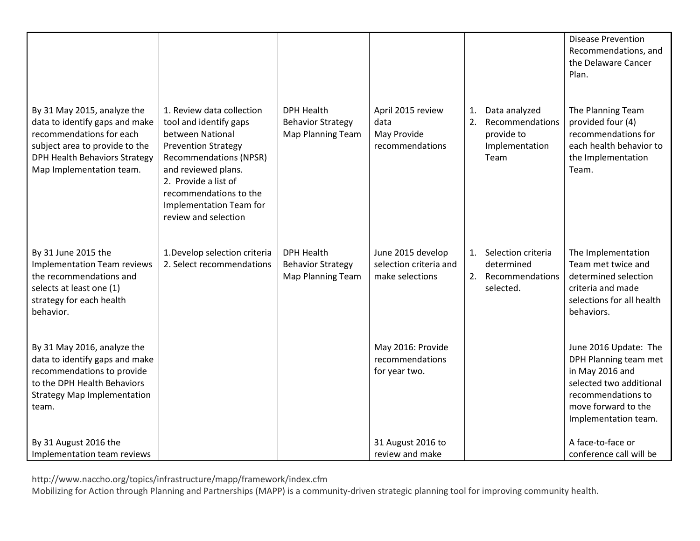|                                                                                                                                                                                                 |                                                                                                                                                                                                                                                                    |                                                                           |                                                                |          |                                                                          | <b>Disease Prevention</b><br>Recommendations, and<br>the Delaware Cancer<br>Plan.                                                                                 |
|-------------------------------------------------------------------------------------------------------------------------------------------------------------------------------------------------|--------------------------------------------------------------------------------------------------------------------------------------------------------------------------------------------------------------------------------------------------------------------|---------------------------------------------------------------------------|----------------------------------------------------------------|----------|--------------------------------------------------------------------------|-------------------------------------------------------------------------------------------------------------------------------------------------------------------|
| By 31 May 2015, analyze the<br>data to identify gaps and make<br>recommendations for each<br>subject area to provide to the<br><b>DPH Health Behaviors Strategy</b><br>Map Implementation team. | 1. Review data collection<br>tool and identify gaps<br>between National<br><b>Prevention Strategy</b><br><b>Recommendations (NPSR)</b><br>and reviewed plans.<br>2. Provide a list of<br>recommendations to the<br>Implementation Team for<br>review and selection | <b>DPH Health</b><br><b>Behavior Strategy</b><br><b>Map Planning Team</b> | April 2015 review<br>data<br>May Provide<br>recommendations    | 1.<br>2. | Data analyzed<br>Recommendations<br>provide to<br>Implementation<br>Team | The Planning Team<br>provided four (4)<br>recommendations for<br>each health behavior to<br>the Implementation<br>Team.                                           |
| By 31 June 2015 the<br><b>Implementation Team reviews</b><br>the recommendations and<br>selects at least one (1)<br>strategy for each health<br>behavior.                                       | 1. Develop selection criteria<br>2. Select recommendations                                                                                                                                                                                                         | <b>DPH Health</b><br><b>Behavior Strategy</b><br>Map Planning Team        | June 2015 develop<br>selection criteria and<br>make selections | 1.       | Selection criteria<br>determined<br>2. Recommendations<br>selected.      | The Implementation<br>Team met twice and<br>determined selection<br>criteria and made<br>selections for all health<br>behaviors.                                  |
| By 31 May 2016, analyze the<br>data to identify gaps and make<br>recommendations to provide<br>to the DPH Health Behaviors<br><b>Strategy Map Implementation</b><br>team.                       |                                                                                                                                                                                                                                                                    |                                                                           | May 2016: Provide<br>recommendations<br>for year two.          |          |                                                                          | June 2016 Update: The<br>DPH Planning team met<br>in May 2016 and<br>selected two additional<br>recommendations to<br>move forward to the<br>Implementation team. |
| By 31 August 2016 the<br>Implementation team reviews                                                                                                                                            |                                                                                                                                                                                                                                                                    |                                                                           | 31 August 2016 to<br>review and make                           |          |                                                                          | A face-to-face or<br>conference call will be                                                                                                                      |

http://www.naccho.org/topics/infrastructure/mapp/framework/index.cfm

Mobilizing for Action through Planning and Partnerships (MAPP) is a community-driven strategic planning tool for improving community health.